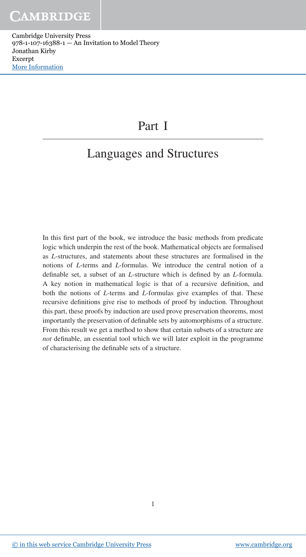## Part I

# Languages and Structures

In this first part of the book, we introduce the basic methods from predicate logic which underpin the rest of the book. Mathematical objects are formalised as *L*-structures, and statements about these structures are formalised in the notions of *L*-terms and *L*-formulas. We introduce the central notion of a definable set, a subset of an *L*-structure which is defined by an *L*-formula. A key notion in mathematical logic is that of a recursive definition, and both the notions of *L*-terms and *L*-formulas give examples of that. These recursive definitions give rise to methods of proof by induction. Throughout this part, these proofs by induction are used prove preservation theorems, most importantly the preservation of definable sets by automorphisms of a structure. From this result we get a method to show that certain subsets of a structure are *not* definable, an essential tool which we will later exploit in the programme of characterising the definable sets of a structure.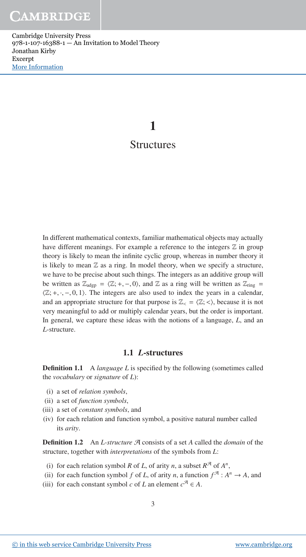## **1 Structures**

In different mathematical contexts, familiar mathematical objects may actually have different meanings. For example a reference to the integers  $Z$  in group theory is likely to mean the infinite cyclic group, whereas in number theory it is likely to mean  $\mathbb Z$  as a ring. In model theory, when we specify a structure, we have to be precise about such things. The integers as an additive group will be written as  $\mathbb{Z}_{adgp} = \langle \mathbb{Z}; +, -, 0 \rangle$ , and  $\mathbb{Z}$  as a ring will be written as  $\mathbb{Z}_{ring} =$  $\langle \mathbb{Z}; +, \cdot, -, 0, 1 \rangle$ . The integers are also used to index the years in a calendar, and an appropriate structure for that purpose is  $\mathbb{Z}_{<} = \langle \mathbb{Z}; < \rangle$ , because it is not very meaningful to add or multiply calendar years, but the order is important. In general, we capture these ideas with the notions of a language, *L*, and an *L*-structure.

## **1.1** *L***-structures**

**Definition 1.1** A *language L* is specified by the following (sometimes called the *vocabulary* or *signature* of *L*):

- (i) a set of *relation symbols*,
- (ii) a set of *function symbols*,
- (iii) a set of *constant symbols*, and
- (iv) for each relation and function symbol, a positive natural number called its *arity*.

**Definition 1.2** An *L-structure* A consists of a set *A* called the *domain* of the structure, together with *interpretations* of the symbols from *L*:

- (i) for each relation symbol *R* of *L*, of arity *n*, a subset  $R^{\mathcal{A}}$  of  $A^n$ ,
- (ii) for each function symbol *f* of *L*, of arity *n*, a function  $f^{\mathcal{A}}: A^n \to A$ , and
- (iii) for each constant symbol *c* of *L* an element  $c^{\mathcal{A}} \in A$ .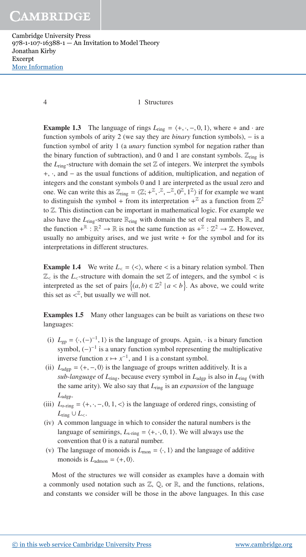#### 4 1 Structures

**Example 1.3** The language of rings  $L_{ring} = \langle +, \cdot, -, 0, 1 \rangle$ , where + and  $\cdot$  are function symbols of arity 2 (we say they are *binary* function symbols), − is a function symbol of arity 1 (a *unary* function symbol for negation rather than the binary function of subtraction), and 0 and 1 are constant symbols.  $\mathbb{Z}_{\text{ring}}$  is the  $L_{\text{ring}}$ -structure with domain the set  $\mathbb Z$  of integers. We interpret the symbols +, ·, and − as the usual functions of addition, multiplication, and negation of integers and the constant symbols 0 and 1 are interpreted as the usual zero and one. We can write this as  $\mathbb{Z}_{\text{ring}} = \langle \mathbb{Z}; +^{\mathbb{Z}}, -^{\mathbb{Z}}, 0^{\mathbb{Z}}, 1^{\mathbb{Z}} \rangle$  if for example we want to distinguish the symbol + from its interpretation  $+^{\mathbb{Z}}$  as a function from  $\mathbb{Z}^2$ to Z. This distinction can be important in mathematical logic. For example we also have the  $L_{\text{ring}}$ -structure  $\mathbb{R}_{\text{ring}}$  with domain the set of real numbers  $\mathbb{R}$ , and the function  $+^{\mathbb{R}} : \mathbb{R}^2 \to \mathbb{R}$  is not the same function as  $+^{\mathbb{Z}} : \mathbb{Z}^2 \to \mathbb{Z}$ . However, usually no ambiguity arises, and we just write  $+$  for the symbol and for its interpretations in different structures.

**Example 1.4** We write  $L_{<} = \langle < \rangle$ , where  $<$  is a binary relation symbol. Then  $\mathbb{Z}_{\leq}$  is the *L*<sub> $\leq$ </sub>-structure with domain the set  $\mathbb{Z}$  of integers, and the symbol  $\leq$  is interpreted as the set of pairs  $\{(a, b) \in \mathbb{Z}^2 \mid a < b\}$ . As above, we could write this set as  $\langle \mathbb{Z}, \text{ but usually we will not.}$ 

**Examples 1.5** Many other languages can be built as variations on these two languages:

- (i)  $L_{gp} = \langle \cdot, (-)^{-1}, 1 \rangle$  is the language of groups. Again,  $\cdot$  is a binary function symbol,  $(-)^{-1}$  is a unary function symbol representing the multiplicative inverse function  $x \mapsto x^{-1}$ , and 1 is a constant symbol.
- (ii)  $L_{\text{adgp}} = \langle +, -, 0 \rangle$  is the language of groups written additively. It is a *sub-language* of *L*ring, because every symbol in *L*adgp is also in *L*ring (with the same arity). We also say that *L*ring is an *expansion* of the language *L*adgp.
- (iii)  $L_{\text{o-ring}} = \langle +, \cdot, -, 0, 1, \cdot \rangle$  is the language of ordered rings, consisting of  $L$ <sub>ring</sub> ∪  $L$ <sub><</sub>.
- (iv) A common language in which to consider the natural numbers is the language of semirings,  $L_{\text{s-ring}} = \langle +, \cdot, 0, 1 \rangle$ . We will always use the convention that 0 is a natural number.
- (v) The language of monoids is  $L_{\text{mon}} = \langle \cdot, 1 \rangle$  and the language of additive monoids is  $L_{\text{admon}} = \langle +, 0 \rangle$ .

Most of the structures we will consider as examples have a domain with a commonly used notation such as  $\mathbb{Z}$ ,  $\mathbb{Q}$ , or  $\mathbb{R}$ , and the functions, relations, and constants we consider will be those in the above languages. In this case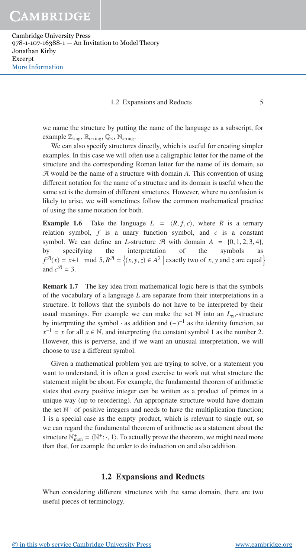#### 1.2 Expansions and Reducts 5

we name the structure by putting the name of the language as a subscript, for example  $\mathbb{Z}_{\text{ring}}$ ,  $\mathbb{R}_{\text{o-ring}}$ ,  $\mathbb{Q}_{\leq}$ ,  $\mathbb{N}_{\text{s-ring}}$ .

We can also specify structures directly, which is useful for creating simpler examples. In this case we will often use a caligraphic letter for the name of the structure and the corresponding Roman letter for the name of its domain, so A would be the name of a structure with domain *A*. This convention of using different notation for the name of a structure and its domain is useful when the same set is the domain of different structures. However, where no confusion is likely to arise, we will sometimes follow the common mathematical practice of using the same notation for both.

**Example 1.6** Take the language  $L = \langle R, f, c \rangle$ , where R is a ternary relation symbol,  $f$  is a unary function symbol, and  $c$  is a constant symbol. We can define an *L*-structure  $\mathcal{A}$  with domain  $A = \{0, 1, 2, 3, 4\}$ , by specifying the interpretation of the symbols as  $f^{\mathcal{A}}(x) = x+1 \mod 5, R^{\mathcal{A}} = \{(x, y, z) \in A^3 \mid \text{exactly two of } x, y \text{ and } z \text{ are equal} \}$ and  $c^{\mathcal{A}} = 3$ .

**Remark 1.7** The key idea from mathematical logic here is that the symbols of the vocabulary of a language *L* are separate from their interpretations in a structure. It follows that the symbols do not have to be interpreted by their usual meanings. For example we can make the set  $\mathbb N$  into an  $L_{gp}$ -structure by interpreting the symbol  $\cdot$  as addition and  $(-)^{-1}$  as the identity function, so  $x^{-1} = x$  for all  $x \in \mathbb{N}$ , and interpreting the constant symbol 1 as the number 2. However, this is perverse, and if we want an unusual interpretation, we will choose to use a different symbol.

Given a mathematical problem you are trying to solve, or a statement you want to understand, it is often a good exercise to work out what structure the statement might be about. For example, the fundamental theorem of arithmetic states that every positive integer can be written as a product of primes in a unique way (up to reordering). An appropriate structure would have domain the set  $\mathbb{N}^+$  of positive integers and needs to have the multiplication function; 1 is a special case as the empty product, which is relevant to single out, so we can regard the fundamental theorem of arithmetic as a statement about the structure  $\mathbb{N}_{\text{mon}}^+ = \langle \mathbb{N}^+; \cdot, 1 \rangle$ . To actually prove the theorem, we might need more than that, for example the order to do induction on and also addition.

## **1.2 Expansions and Reducts**

When considering different structures with the same domain, there are two useful pieces of terminology.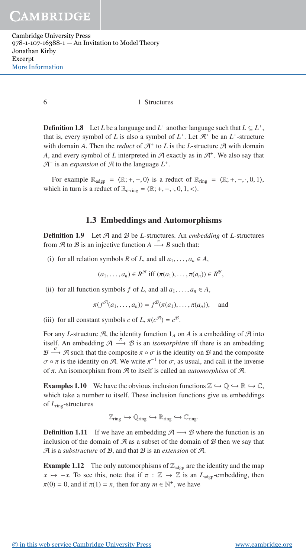#### 6 1 Structures

**Definition 1.8** Let *L* be a language and  $L^+$  another language such that  $L \subseteq L^+$ , that is, every symbol of *L* is also a symbol of  $L^+$ . Let  $\mathcal{A}^+$  be an  $L^+$ -structure with domain *A*. Then the *reduct* of  $\mathcal{A}^+$  to *L* is the *L*-structure  $\mathcal{A}$  with domain A, and every symbol of L interpreted in  $A$  exactly as in  $A^+$ . We also say that  $\mathcal{A}^+$  is an *expansion* of  $\mathcal A$  to the language  $L^+$ .

For example  $\mathbb{R}_{adgp} = \langle \mathbb{R}; +, -, 0 \rangle$  is a reduct of  $\mathbb{R}_{ring} = \langle \mathbb{R}; +, -, \cdot, 0, 1 \rangle$ , which in turn is a reduct of  $\mathbb{R}_{\text{o-ring}} = \langle \mathbb{R}; +, -, \cdot, 0, 1, < \rangle$ .

### **1.3 Embeddings and Automorphisms**

**Definition 1.9** Let  $A$  and  $B$  be *L*-structures. An *embedding* of *L*-structures from  $\mathcal A$  to  $\mathcal B$  is an injective function  $A \stackrel{\pi}{\longrightarrow} B$  such that:

(i) for all relation symbols *R* of *L*, and all  $a_1, \ldots, a_n \in A$ ,

$$
(a_1,\ldots,a_n)\in R^{\mathcal{A}}\text{ iff }(\pi(a_1),\ldots,\pi(a_n))\in R^{\mathcal{B}},
$$

(ii) for all function symbols *f* of *L*, and all  $a_1, \ldots, a_n \in A$ ,

$$
\pi(f^{\mathcal{A}}(a_1,\ldots,a_n))=f^{\mathcal{B}}(\pi(a_1),\ldots,\pi(a_n)), \text{ and}
$$

(iii) for all constant symbols *c* of *L*,  $\pi(c^{\mathcal{A}}) = c^{\mathcal{B}}$ .

For any *L*-structure  $\mathcal{A}$ , the identity function  $1_A$  on  $A$  is a embedding of  $\mathcal{A}$  into itself. An embedding  $\mathcal{A} \stackrel{\pi}{\longrightarrow} \mathcal{B}$  is an *isomorphism* iff there is an embedding  $\mathcal{B} \stackrel{\sigma}{\longrightarrow} \mathcal{A}$  such that the composite  $\pi \circ \sigma$  is the identity on  $\mathcal{B}$  and the composite  $\sigma \circ \pi$  is the identity on A. We write  $\pi^{-1}$  for  $\sigma$ , as usual, and call it the inverse of π. An isomorphism from A to itself is called an *automorphism* of A.

**Examples 1.10** We have the obvious inclusion functions  $\mathbb{Z} \hookrightarrow \mathbb{Q} \hookrightarrow \mathbb{R} \hookrightarrow \mathbb{C}$ , which take a number to itself. These inclusion functions give us embeddings of *L*ring-structures

$$
\mathbb{Z}_{ring} \hookrightarrow \mathbb{Q}_{ring} \hookrightarrow \mathbb{R}_{ring} \hookrightarrow \mathbb{C}_{ring}.
$$

**Definition 1.11** If we have an embedding  $A \rightarrow B$  where the function is an inclusion of the domain of  $A$  as a subset of the domain of  $B$  then we say that A is a *substructure* of B, and that B is an *extension* of A.

**Example 1.12** The only automorphisms of  $\mathbb{Z}_{\text{adgp}}$  are the identity and the map  $x \mapsto -x$ . To see this, note that if  $\pi : \mathbb{Z} \to \mathbb{Z}$  is an  $L_{\text{adgp}}$ -embedding, then  $\pi(0) = 0$ , and if  $\pi(1) = n$ , then for any  $m \in \mathbb{N}^+$ , we have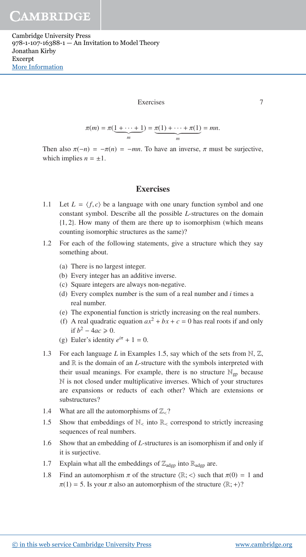#### **Exercises**

$$
\phantom{0}7
$$

$$
\pi(m) = \pi(\underbrace{1 + \cdots + 1}_{m}) = \underbrace{\pi(1) + \cdots + \pi(1)}_{m} = mn.
$$

Then also  $\pi(-n) = -\pi(n) = -mn$ . To have an inverse,  $\pi$  must be surjective, which implies  $n = \pm 1$ .

## **Exercises**

- 1.1 Let  $L = \langle f, c \rangle$  be a language with one unary function symbol and one constant symbol. Describe all the possible *L*-structures on the domain {1, 2}. How many of them are there up to isomorphism (which means counting isomorphic structures as the same)?
- 1.2 For each of the following statements, give a structure which they say something about.
	- (a) There is no largest integer.
	- (b) Every integer has an additive inverse.
	- (c) Square integers are always non-negative.
	- (d) Every complex number is the sum of a real number and *i* times a real number.
	- (e) The exponential function is strictly increasing on the real numbers.
	- (f) A real quadratic equation  $ax^2 + bx + c = 0$  has real roots if and only if *b*<sup>2</sup> − 4*ac*  $\ge$  0.
	- (g) Euler's identity  $e^{i\pi} + 1 = 0$ .
- 1.3 For each language *L* in Examples 1.5, say which of the sets from N, Z, and  $\mathbb R$  is the domain of an *L*-structure with the symbols interpreted with their usual meanings. For example, there is no structure  $\mathbb{N}_{\text{gn}}$  because N is not closed under multiplicative inverses. Which of your structures are expansions or reducts of each other? Which are extensions or substructures?
- 1.4 What are all the automorphisms of  $\mathbb{Z}_{\leq}$ ?
- 1.5 Show that embeddings of  $\mathbb{N}_<$  into  $\mathbb{R}_<$  correspond to strictly increasing sequences of real numbers.
- 1.6 Show that an embedding of *L*-structures is an isomorphism if and only if it is surjective.
- 1.7 Explain what all the embeddings of  $\mathbb{Z}_{\text{adgp}}$  into  $\mathbb{R}_{\text{adgp}}$  are.
- 1.8 Find an automorphism  $\pi$  of the structure  $\langle \mathbb{R}; \langle \rangle$  such that  $\pi(0) = 1$  and  $\pi(1) = 5$ . Is your  $\pi$  also an automorphism of the structure  $\langle \mathbb{R}; + \rangle$ ?